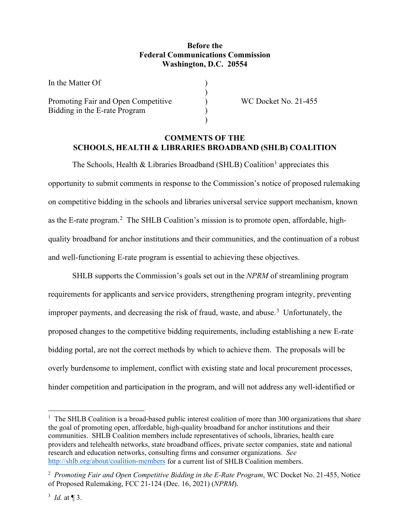# **Before the Federal Communications Commission Washington, D.C. 20554**

)

)

In the Matter Of ) Promoting Fair and Open Competitive (a) WC Docket No. 21-455 Bidding in the E-rate Program )

# **COMMENTS OF THE SCHOOLS, HEALTH & LIBRARIES BROADBAND (SHLB) COALITION**

The Schools, Health & Libraries Broadband (SHLB) Coalition<sup>[1](#page-0-0)</sup> appreciates this opportunity to submit comments in response to the Commission's notice of proposed rulemaking on competitive bidding in the schools and libraries universal service support mechanism, known as the E-rate program.<sup>[2](#page-0-1)</sup> The SHLB Coalition's mission is to promote open, affordable, highquality broadband for anchor institutions and their communities, and the continuation of a robust and well-functioning E-rate program is essential to achieving these objectives.

SHLB supports the Commission's goals set out in the *NPRM* of streamlining program requirements for applicants and service providers, strengthening program integrity, preventing improper payments, and decreasing the risk of fraud, waste, and abuse.<sup>[3](#page-0-2)</sup> Unfortunately, the proposed changes to the competitive bidding requirements, including establishing a new E-rate bidding portal, are not the correct methods by which to achieve them. The proposals will be overly burdensome to implement, conflict with existing state and local procurement processes, hinder competition and participation in the program, and will not address any well-identified or

<span id="page-0-0"></span><sup>&</sup>lt;sup>1</sup> The SHLB Coalition is a broad-based public interest coalition of more than 300 organizations that share the goal of promoting open, affordable, high-quality broadband for anchor institutions and their communities. SHLB Coalition members include representatives of schools, libraries, health care providers and telehealth networks, state broadband offices, private sector companies, state and national research and education networks, consulting firms and consumer organizations. *See* <http://shlb.org/about/coalition-members> for a current list of SHLB Coalition members.

<span id="page-0-1"></span><sup>2</sup> *Promoting Fair and Open Competitive Bidding in the E-Rate Program*, WC Docket No. 21-455, Notice of Proposed Rulemaking, FCC 21-124 (Dec. 16, 2021) (*NPRM*).

<span id="page-0-2"></span> $3$  *Id.* at  $\P$  3.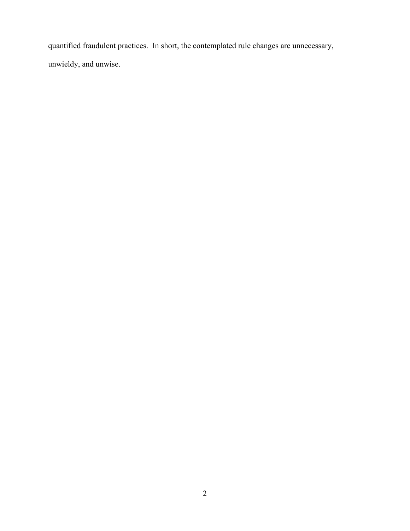quantified fraudulent practices. In short, the contemplated rule changes are unnecessary, unwieldy, and unwise.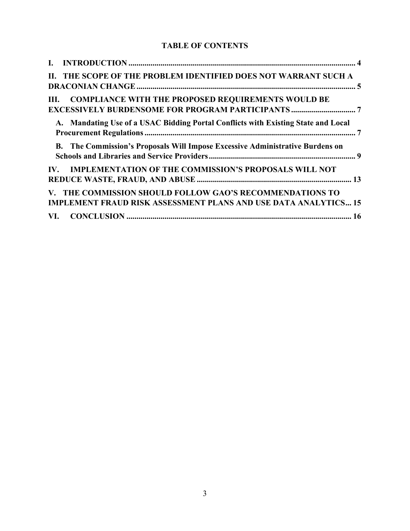# **TABLE OF CONTENTS**

| II. THE SCOPE OF THE PROBLEM IDENTIFIED DOES NOT WARRANT SUCH A                                                                    |
|------------------------------------------------------------------------------------------------------------------------------------|
| <b>COMPLIANCE WITH THE PROPOSED REQUIREMENTS WOULD BE</b><br>HL.<br><b>EXCESSIVELY BURDENSOME FOR PROGRAM PARTICIPANTS </b> 7      |
| A. Mandating Use of a USAC Bidding Portal Conflicts with Existing State and Local                                                  |
| The Commission's Proposals Will Impose Excessive Administrative Burdens on<br>В.                                                   |
| <b>IMPLEMENTATION OF THE COMMISSION'S PROPOSALS WILL NOT</b><br>$\mathbf{IV}_{-}$                                                  |
| V. THE COMMISSION SHOULD FOLLOW GAO'S RECOMMENDATIONS TO<br><b>IMPLEMENT FRAUD RISK ASSESSMENT PLANS AND USE DATA ANALYTICS 15</b> |
|                                                                                                                                    |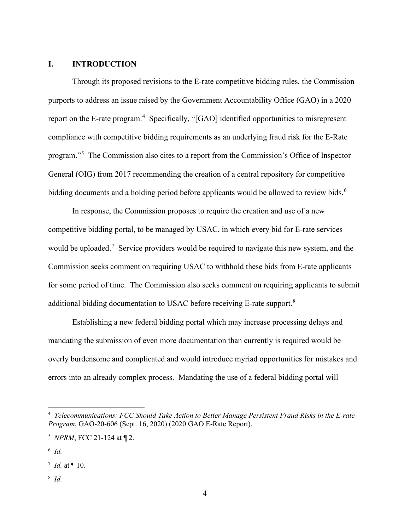# <span id="page-3-0"></span>**I. INTRODUCTION**

Through its proposed revisions to the E-rate competitive bidding rules, the Commission purports to address an issue raised by the Government Accountability Office (GAO) in a 2020 report on the E-rate program.<sup>[4](#page-3-1)</sup> Specifically, "[GAO] identified opportunities to misrepresent compliance with competitive bidding requirements as an underlying fraud risk for the E-Rate program."[5](#page-3-2) The Commission also cites to a report from the Commission's Office of Inspector General (OIG) from 2017 recommending the creation of a central repository for competitive bidding documents and a holding period before applicants would be allowed to review bids.<sup>[6](#page-3-3)</sup>

In response, the Commission proposes to require the creation and use of a new competitive bidding portal, to be managed by USAC, in which every bid for E-rate services would be uploaded.<sup>[7](#page-3-4)</sup> Service providers would be required to navigate this new system, and the Commission seeks comment on requiring USAC to withhold these bids from E-rate applicants for some period of time. The Commission also seeks comment on requiring applicants to submit additional bidding documentation to USAC before receiving E-rate support.<sup>[8](#page-3-5)</sup>

Establishing a new federal bidding portal which may increase processing delays and mandating the submission of even more documentation than currently is required would be overly burdensome and complicated and would introduce myriad opportunities for mistakes and errors into an already complex process. Mandating the use of a federal bidding portal will

<span id="page-3-5"></span><sup>8</sup> *Id.*

<span id="page-3-1"></span><sup>4</sup> *Telecommunications: FCC Should Take Action to Better Manage Persistent Fraud Risks in the E-rate Program*, GAO-20-606 (Sept. 16, 2020) (2020 GAO E-Rate Report).

<span id="page-3-2"></span><sup>5</sup> *NPRM*, FCC 21-124 at ¶ 2.

<span id="page-3-3"></span><sup>6</sup> *Id.*

<span id="page-3-4"></span><sup>7</sup> *Id.* at ¶ 10.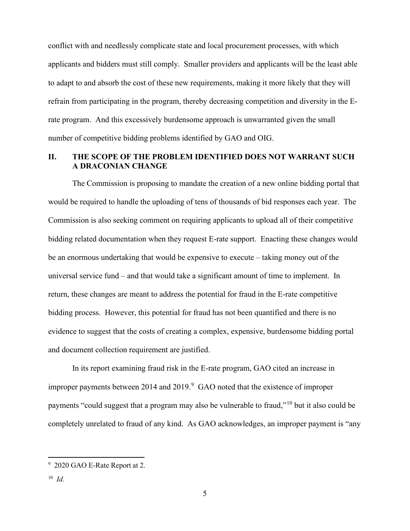conflict with and needlessly complicate state and local procurement processes, with which applicants and bidders must still comply. Smaller providers and applicants will be the least able to adapt to and absorb the cost of these new requirements, making it more likely that they will refrain from participating in the program, thereby decreasing competition and diversity in the Erate program. And this excessively burdensome approach is unwarranted given the small number of competitive bidding problems identified by GAO and OIG.

## <span id="page-4-0"></span>**II. THE SCOPE OF THE PROBLEM IDENTIFIED DOES NOT WARRANT SUCH A DRACONIAN CHANGE**

The Commission is proposing to mandate the creation of a new online bidding portal that would be required to handle the uploading of tens of thousands of bid responses each year. The Commission is also seeking comment on requiring applicants to upload all of their competitive bidding related documentation when they request E-rate support. Enacting these changes would be an enormous undertaking that would be expensive to execute – taking money out of the universal service fund – and that would take a significant amount of time to implement. In return, these changes are meant to address the potential for fraud in the E-rate competitive bidding process. However, this potential for fraud has not been quantified and there is no evidence to suggest that the costs of creating a complex, expensive, burdensome bidding portal and document collection requirement are justified.

In its report examining fraud risk in the E-rate program, GAO cited an increase in improper payments between 2014 and 201[9](#page-4-1). $9\,$  GAO noted that the existence of improper payments "could suggest that a program may also be vulnerable to fraud,"<sup>[10](#page-4-2)</sup> but it also could be completely unrelated to fraud of any kind. As GAO acknowledges, an improper payment is "any

<span id="page-4-1"></span><sup>9</sup> 2020 GAO E-Rate Report at 2.

<span id="page-4-2"></span><sup>10</sup> *Id.*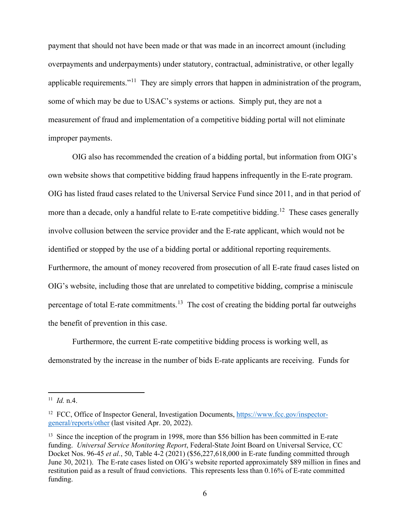payment that should not have been made or that was made in an incorrect amount (including overpayments and underpayments) under statutory, contractual, administrative, or other legally applicable requirements."<sup>[11](#page-5-0)</sup> They are simply errors that happen in administration of the program, some of which may be due to USAC's systems or actions. Simply put, they are not a measurement of fraud and implementation of a competitive bidding portal will not eliminate improper payments.

<span id="page-5-3"></span>OIG also has recommended the creation of a bidding portal, but information from OIG's own website shows that competitive bidding fraud happens infrequently in the E-rate program. OIG has listed fraud cases related to the Universal Service Fund since 2011, and in that period of more than a decade, only a handful relate to E-rate competitive bidding.<sup>12</sup> These cases generally involve collusion between the service provider and the E-rate applicant, which would not be identified or stopped by the use of a bidding portal or additional reporting requirements. Furthermore, the amount of money recovered from prosecution of all E-rate fraud cases listed on OIG's website, including those that are unrelated to competitive bidding, comprise a miniscule percentage of total E-rate commitments.<sup>13</sup> The cost of creating the bidding portal far outweighs the benefit of prevention in this case.

Furthermore, the current E-rate competitive bidding process is working well, as demonstrated by the increase in the number of bids E-rate applicants are receiving. Funds for

<span id="page-5-0"></span><sup>11</sup> *Id.* n.4.

<span id="page-5-1"></span><sup>&</sup>lt;sup>12</sup> FCC, Office of Inspector General, Investigation Documents, [https://www.fcc.gov/inspector](https://www.fcc.gov/inspector-general/reports/other)[general/reports/other](https://www.fcc.gov/inspector-general/reports/other) (last visited Apr. 20, 2022).

<span id="page-5-2"></span><sup>&</sup>lt;sup>13</sup> Since the inception of the program in 1998, more than \$56 billion has been committed in E-rate funding. *Universal Service Monitoring Report*, Federal-State Joint Board on Universal Service, CC Docket Nos. 96-45 *et al.*, 50, Table 4-2 (2021) (\$56,227,618,000 in E-rate funding committed through June 30, 2021). The E-rate cases listed on OIG's website reported approximately \$89 million in fines and restitution paid as a result of fraud convictions. This represents less than 0.16% of E-rate committed funding.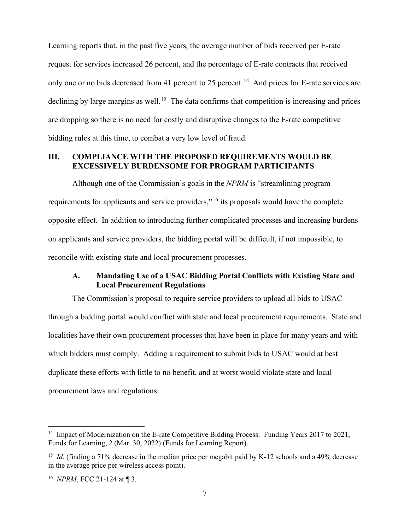Learning reports that, in the past five years, the average number of bids received per E-rate request for services increased 26 percent, and the percentage of E-rate contracts that received only one or no bids decreased from 41 percent to 25 percent.<sup>[14](#page-6-2)</sup> And prices for E-rate services are declining by large margins as well.<sup>15</sup> The data confirms that competition is increasing and prices are dropping so there is no need for costly and disruptive changes to the E-rate competitive bidding rules at this time, to combat a very low level of fraud.

## <span id="page-6-0"></span>**III. COMPLIANCE WITH THE PROPOSED REQUIREMENTS WOULD BE EXCESSIVELY BURDENSOME FOR PROGRAM PARTICIPANTS**

Although one of the Commission's goals in the *NPRM* is "streamlining program requirements for applicants and service providers,"[16](#page-6-4) its proposals would have the complete opposite effect. In addition to introducing further complicated processes and increasing burdens on applicants and service providers, the bidding portal will be difficult, if not impossible, to reconcile with existing state and local procurement processes.

### **A. Mandating Use of a USAC Bidding Portal Conflicts with Existing State and Local Procurement Regulations**

<span id="page-6-1"></span>The Commission's proposal to require service providers to upload all bids to USAC through a bidding portal would conflict with state and local procurement requirements. State and localities have their own procurement processes that have been in place for many years and with which bidders must comply. Adding a requirement to submit bids to USAC would at best duplicate these efforts with little to no benefit, and at worst would violate state and local procurement laws and regulations.

<span id="page-6-2"></span><sup>&</sup>lt;sup>14</sup> Impact of Modernization on the E-rate Competitive Bidding Process: Funding Years 2017 to 2021, Funds for Learning, 2 (Mar. 30, 2022) (Funds for Learning Report).

<span id="page-6-3"></span><sup>&</sup>lt;sup>15</sup> *Id.* (finding a 71% decrease in the median price per megabit paid by K-12 schools and a 49% decrease in the average price per wireless access point).

<span id="page-6-4"></span><sup>16</sup> *NPRM*, FCC 21-124 at ¶ 3.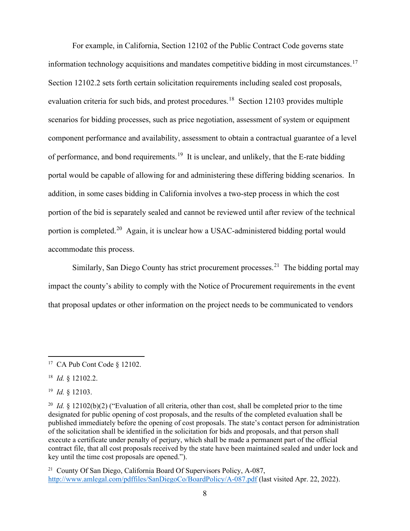For example, in California, Section 12102 of the Public Contract Code governs state information technology acquisitions and mandates competitive bidding in most circumstances. [17](#page-7-0) Section 12102.2 sets forth certain solicitation requirements including sealed cost proposals, evaluation criteria for such bids, and protest procedures.<sup>[18](#page-7-1)</sup> Section 12103 provides multiple scenarios for bidding processes, such as price negotiation, assessment of system or equipment component performance and availability, assessment to obtain a contractual guarantee of a level of performance, and bond requirements.<sup>[19](#page-7-2)</sup> It is unclear, and unlikely, that the E-rate bidding portal would be capable of allowing for and administering these differing bidding scenarios. In addition, in some cases bidding in California involves a two-step process in which the cost portion of the bid is separately sealed and cannot be reviewed until after review of the technical portion is completed.[20](#page-7-3) Again, it is unclear how a USAC-administered bidding portal would accommodate this process.

Similarly, San Diego County has strict procurement processes.<sup>21</sup> The bidding portal may impact the county's ability to comply with the Notice of Procurement requirements in the event that proposal updates or other information on the project needs to be communicated to vendors

<span id="page-7-2"></span>19 *Id.* § 12103.

<span id="page-7-4"></span><sup>21</sup> County Of San Diego, California Board Of Supervisors Policy, A-087, <http://www.amlegal.com/pdffiles/SanDiegoCo/BoardPolicy/A-087.pdf>(last visited Apr. 22, 2022).

<span id="page-7-0"></span><sup>17</sup> CA Pub Cont Code § 12102.

<span id="page-7-1"></span><sup>18</sup> *Id.* § 12102.2.

<span id="page-7-3"></span><sup>&</sup>lt;sup>20</sup> *Id.* § 12102(b)(2) ("Evaluation of all criteria, other than cost, shall be completed prior to the time designated for public opening of cost proposals, and the results of the completed evaluation shall be published immediately before the opening of cost proposals. The state's contact person for administration of the solicitation shall be identified in the solicitation for bids and proposals, and that person shall execute a certificate under penalty of perjury, which shall be made a permanent part of the official contract file, that all cost proposals received by the state have been maintained sealed and under lock and key until the time cost proposals are opened.").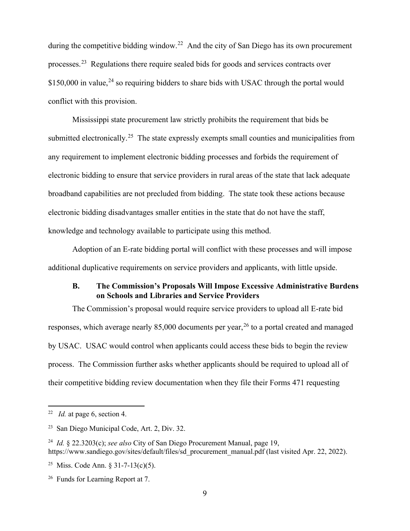during the competitive bidding window.<sup>22</sup> And the city of San Diego has its own procurement processes.[23](#page-8-2) Regulations there require sealed bids for goods and services contracts over  $$150,000$  in value,<sup>[24](#page-8-3)</sup> so requiring bidders to share bids with USAC through the portal would conflict with this provision.

Mississippi state procurement law strictly prohibits the requirement that bids be submitted electronically.<sup>[25](#page-8-4)</sup> The state expressly exempts small counties and municipalities from any requirement to implement electronic bidding processes and forbids the requirement of electronic bidding to ensure that service providers in rural areas of the state that lack adequate broadband capabilities are not precluded from bidding. The state took these actions because electronic bidding disadvantages smaller entities in the state that do not have the staff, knowledge and technology available to participate using this method.

Adoption of an E-rate bidding portal will conflict with these processes and will impose additional duplicative requirements on service providers and applicants, with little upside.

## **B. The Commission's Proposals Will Impose Excessive Administrative Burdens on Schools and Libraries and Service Providers**

<span id="page-8-0"></span>The Commission's proposal would require service providers to upload all E-rate bid responses, which average nearly 85,000 documents per year,<sup>[26](#page-8-5)</sup> to a portal created and managed by USAC. USAC would control when applicants could access these bids to begin the review process. The Commission further asks whether applicants should be required to upload all of their competitive bidding review documentation when they file their Forms 471 requesting

<span id="page-8-1"></span><sup>22</sup> *Id.* at page 6, section 4.

<span id="page-8-2"></span><sup>23</sup> San Diego Municipal Code, Art. 2, Div. 32.

<span id="page-8-3"></span><sup>24</sup> *Id.* § 22.3203(c); *see also* City of San Diego Procurement Manual, page 19, https://www.sandiego.gov/sites/default/files/sd\_procurement\_manual.pdf (last visited Apr. 22, 2022).

<span id="page-8-4"></span><sup>&</sup>lt;sup>25</sup> Miss. Code Ann.  $\frac{31-7-13(c)}{5}$ .

<span id="page-8-5"></span><sup>&</sup>lt;sup>26</sup> Funds for Learning Report at 7.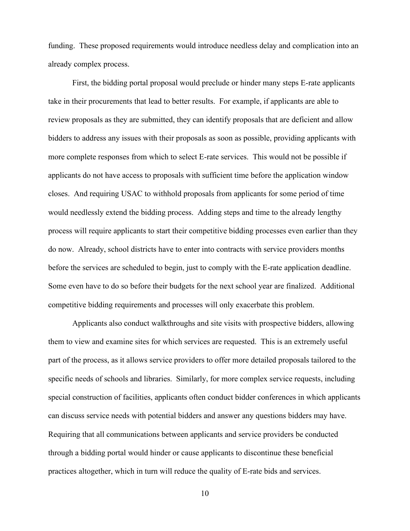funding. These proposed requirements would introduce needless delay and complication into an already complex process.

First, the bidding portal proposal would preclude or hinder many steps E-rate applicants take in their procurements that lead to better results. For example, if applicants are able to review proposals as they are submitted, they can identify proposals that are deficient and allow bidders to address any issues with their proposals as soon as possible, providing applicants with more complete responses from which to select E-rate services. This would not be possible if applicants do not have access to proposals with sufficient time before the application window closes. And requiring USAC to withhold proposals from applicants for some period of time would needlessly extend the bidding process. Adding steps and time to the already lengthy process will require applicants to start their competitive bidding processes even earlier than they do now. Already, school districts have to enter into contracts with service providers months before the services are scheduled to begin, just to comply with the E-rate application deadline. Some even have to do so before their budgets for the next school year are finalized. Additional competitive bidding requirements and processes will only exacerbate this problem.

Applicants also conduct walkthroughs and site visits with prospective bidders, allowing them to view and examine sites for which services are requested. This is an extremely useful part of the process, as it allows service providers to offer more detailed proposals tailored to the specific needs of schools and libraries. Similarly, for more complex service requests, including special construction of facilities, applicants often conduct bidder conferences in which applicants can discuss service needs with potential bidders and answer any questions bidders may have. Requiring that all communications between applicants and service providers be conducted through a bidding portal would hinder or cause applicants to discontinue these beneficial practices altogether, which in turn will reduce the quality of E-rate bids and services.

10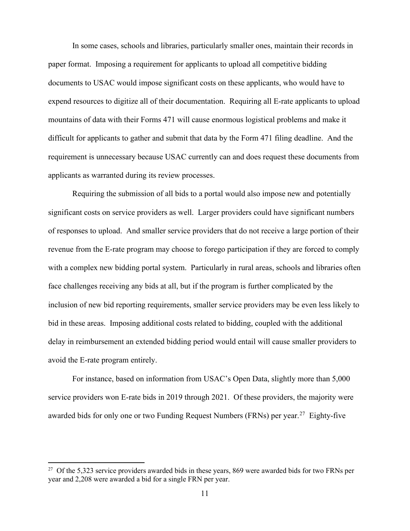In some cases, schools and libraries, particularly smaller ones, maintain their records in paper format. Imposing a requirement for applicants to upload all competitive bidding documents to USAC would impose significant costs on these applicants, who would have to expend resources to digitize all of their documentation. Requiring all E-rate applicants to upload mountains of data with their Forms 471 will cause enormous logistical problems and make it difficult for applicants to gather and submit that data by the Form 471 filing deadline. And the requirement is unnecessary because USAC currently can and does request these documents from applicants as warranted during its review processes.

Requiring the submission of all bids to a portal would also impose new and potentially significant costs on service providers as well. Larger providers could have significant numbers of responses to upload. And smaller service providers that do not receive a large portion of their revenue from the E-rate program may choose to forego participation if they are forced to comply with a complex new bidding portal system. Particularly in rural areas, schools and libraries often face challenges receiving any bids at all, but if the program is further complicated by the inclusion of new bid reporting requirements, smaller service providers may be even less likely to bid in these areas. Imposing additional costs related to bidding, coupled with the additional delay in reimbursement an extended bidding period would entail will cause smaller providers to avoid the E-rate program entirely.

For instance, based on information from USAC's Open Data, slightly more than 5,000 service providers won E-rate bids in 2019 through 2021. Of these providers, the majority were awarded bids for only one or two Funding Request Numbers (FRNs) per year.<sup>27</sup> Eighty-five

<span id="page-10-0"></span> $27$  Of the 5,323 service providers awarded bids in these years, 869 were awarded bids for two FRNs per year and 2,208 were awarded a bid for a single FRN per year.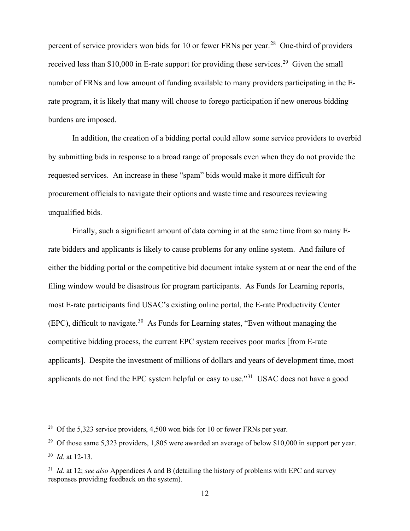percent of service providers won bids for 10 or fewer FRNs per year.<sup>[28](#page-11-0)</sup> One-third of providers received less than \$10,000 in E-rate support for providing these services.<sup>29</sup> Given the small number of FRNs and low amount of funding available to many providers participating in the Erate program, it is likely that many will choose to forego participation if new onerous bidding burdens are imposed.

In addition, the creation of a bidding portal could allow some service providers to overbid by submitting bids in response to a broad range of proposals even when they do not provide the requested services. An increase in these "spam" bids would make it more difficult for procurement officials to navigate their options and waste time and resources reviewing unqualified bids.

Finally, such a significant amount of data coming in at the same time from so many Erate bidders and applicants is likely to cause problems for any online system. And failure of either the bidding portal or the competitive bid document intake system at or near the end of the filing window would be disastrous for program participants. As Funds for Learning reports, most E-rate participants find USAC's existing online portal, the E-rate Productivity Center (EPC), difficult to navigate.<sup>[30](#page-11-2)</sup> As Funds for Learning states, "Even without managing the competitive bidding process, the current EPC system receives poor marks [from E-rate applicants]. Despite the investment of millions of dollars and years of development time, most applicants do not find the EPC system helpful or easy to use."[31](#page-11-3) USAC does not have a good

<span id="page-11-0"></span><sup>&</sup>lt;sup>28</sup> Of the 5,323 service providers,  $4,500$  won bids for 10 or fewer FRNs per year.

<span id="page-11-2"></span><span id="page-11-1"></span><sup>&</sup>lt;sup>29</sup> Of those same 5,323 providers, 1,805 were awarded an average of below \$10,000 in support per year. <sup>30</sup> *Id.* at 12-13.

<span id="page-11-3"></span><sup>31</sup> *Id.* at 12; *see also* Appendices A and B (detailing the history of problems with EPC and survey responses providing feedback on the system).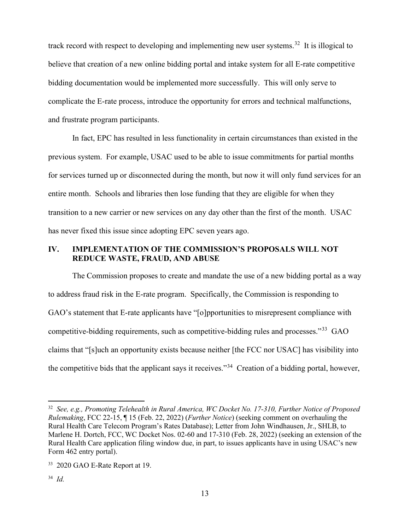track record with respect to developing and implementing new user systems.<sup>[32](#page-12-1)</sup> It is illogical to believe that creation of a new online bidding portal and intake system for all E-rate competitive bidding documentation would be implemented more successfully. This will only serve to complicate the E-rate process, introduce the opportunity for errors and technical malfunctions, and frustrate program participants.

In fact, EPC has resulted in less functionality in certain circumstances than existed in the previous system. For example, USAC used to be able to issue commitments for partial months for services turned up or disconnected during the month, but now it will only fund services for an entire month. Schools and libraries then lose funding that they are eligible for when they transition to a new carrier or new services on any day other than the first of the month. USAC has never fixed this issue since adopting EPC seven years ago.

### <span id="page-12-0"></span>**IV. IMPLEMENTATION OF THE COMMISSION'S PROPOSALS WILL NOT REDUCE WASTE, FRAUD, AND ABUSE**

The Commission proposes to create and mandate the use of a new bidding portal as a way to address fraud risk in the E-rate program. Specifically, the Commission is responding to GAO's statement that E-rate applicants have "[o]pportunities to misrepresent compliance with competitive-bidding requirements, such as competitive-bidding rules and processes."[33](#page-12-2) GAO claims that "[s]uch an opportunity exists because neither [the FCC nor USAC] has visibility into the competitive bids that the applicant says it receives."[34](#page-12-3) Creation of a bidding portal, however,

<span id="page-12-1"></span><sup>32</sup> *See, e.g., Promoting Telehealth in Rural America, WC Docket No. 17-310, Further Notice of Proposed Rulemaking*, FCC 22-15, ¶ 15 (Feb. 22, 2022) (*Further Notice*) (seeking comment on overhauling the Rural Health Care Telecom Program's Rates Database); Letter from John Windhausen, Jr., SHLB, to Marlene H. Dortch, FCC, WC Docket Nos. 02-60 and 17-310 (Feb. 28, 2022) (seeking an extension of the Rural Health Care application filing window due, in part, to issues applicants have in using USAC's new Form 462 entry portal).

<span id="page-12-3"></span><span id="page-12-2"></span><sup>&</sup>lt;sup>33</sup> 2020 GAO E-Rate Report at 19.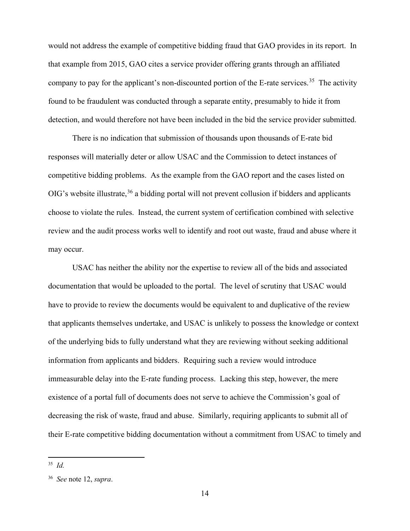would not address the example of competitive bidding fraud that GAO provides in its report. In that example from 2015, GAO cites a service provider offering grants through an affiliated company to pay for the applicant's non-discounted portion of the E-rate services.<sup>35</sup> The activity found to be fraudulent was conducted through a separate entity, presumably to hide it from detection, and would therefore not have been included in the bid the service provider submitted.

There is no indication that submission of thousands upon thousands of E-rate bid responses will materially deter or allow USAC and the Commission to detect instances of competitive bidding problems. As the example from the GAO report and the cases listed on OIG's website illustrate,<sup>[36](#page-13-1)</sup> a bidding portal will not prevent collusion if bidders and applicants choose to violate the rules. Instead, the current system of certification combined with selective review and the audit process works well to identify and root out waste, fraud and abuse where it may occur.

USAC has neither the ability nor the expertise to review all of the bids and associated documentation that would be uploaded to the portal. The level of scrutiny that USAC would have to provide to review the documents would be equivalent to and duplicative of the review that applicants themselves undertake, and USAC is unlikely to possess the knowledge or context of the underlying bids to fully understand what they are reviewing without seeking additional information from applicants and bidders. Requiring such a review would introduce immeasurable delay into the E-rate funding process. Lacking this step, however, the mere existence of a portal full of documents does not serve to achieve the Commission's goal of decreasing the risk of waste, fraud and abuse. Similarly, requiring applicants to submit all of their E-rate competitive bidding documentation without a commitment from USAC to timely and

<span id="page-13-0"></span><sup>35</sup> *Id.*

<span id="page-13-1"></span><sup>36</sup> *See* note [12,](#page-5-3) *supra*.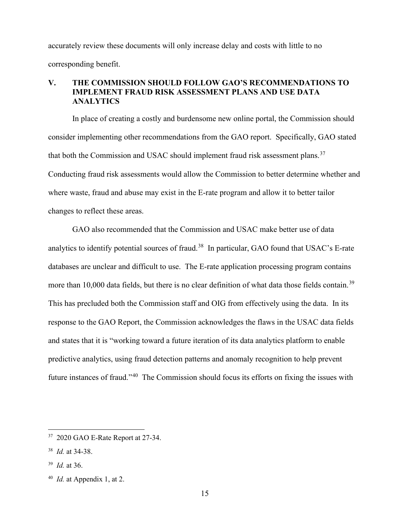accurately review these documents will only increase delay and costs with little to no corresponding benefit.

# <span id="page-14-0"></span>**V. THE COMMISSION SHOULD FOLLOW GAO'S RECOMMENDATIONS TO IMPLEMENT FRAUD RISK ASSESSMENT PLANS AND USE DATA ANALYTICS**

In place of creating a costly and burdensome new online portal, the Commission should consider implementing other recommendations from the GAO report. Specifically, GAO stated that both the Commission and USAC should implement fraud risk assessment plans.<sup>[37](#page-14-1)</sup> Conducting fraud risk assessments would allow the Commission to better determine whether and where waste, fraud and abuse may exist in the E-rate program and allow it to better tailor changes to reflect these areas.

GAO also recommended that the Commission and USAC make better use of data analytics to identify potential sources of fraud.<sup>[38](#page-14-2)</sup> In particular, GAO found that USAC's E-rate databases are unclear and difficult to use. The E-rate application processing program contains more than 10,000 data fields, but there is no clear definition of what data those fields contain.<sup>39</sup> This has precluded both the Commission staff and OIG from effectively using the data. In its response to the GAO Report, the Commission acknowledges the flaws in the USAC data fields and states that it is "working toward a future iteration of its data analytics platform to enable predictive analytics, using fraud detection patterns and anomaly recognition to help prevent future instances of fraud."[40](#page-14-4) The Commission should focus its efforts on fixing the issues with

<span id="page-14-1"></span><sup>37</sup> 2020 GAO E-Rate Report at 27-34.

<span id="page-14-2"></span><sup>38</sup> *Id.* at 34-38.

<span id="page-14-3"></span><sup>39</sup> *Id.* at 36.

<span id="page-14-4"></span><sup>40</sup> *Id.* at Appendix 1, at 2.